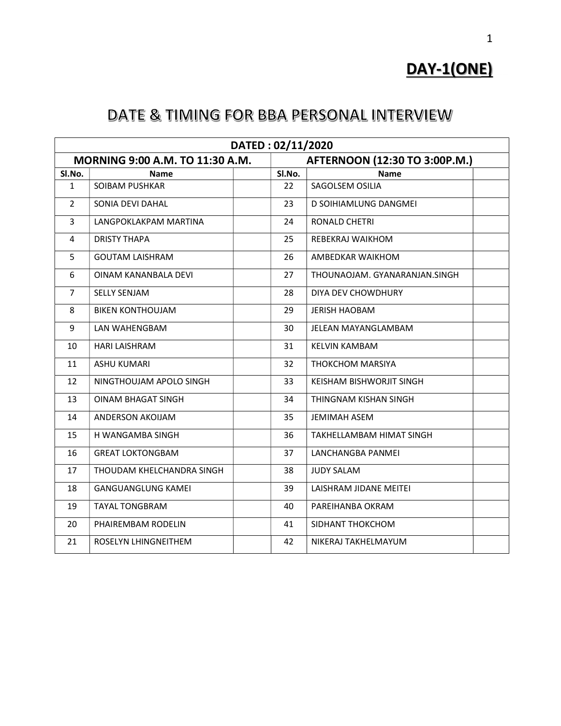# DAY-1(ONE)

| DATED: 02/11/2020 |                                 |  |        |                               |  |  |  |
|-------------------|---------------------------------|--|--------|-------------------------------|--|--|--|
|                   | MORNING 9:00 A.M. TO 11:30 A.M. |  |        | AFTERNOON (12:30 TO 3:00P.M.) |  |  |  |
| SI.No.            | Name                            |  | SI.No. | <b>Name</b>                   |  |  |  |
| $\mathbf{1}$      | SOIBAM PUSHKAR                  |  | 22     | SAGOLSEM OSILIA               |  |  |  |
| $\overline{2}$    | SONIA DEVI DAHAL                |  | 23     | D SOIHIAMLUNG DANGMEI         |  |  |  |
| 3                 | LANGPOKLAKPAM MARTINA           |  | 24     | RONALD CHETRI                 |  |  |  |
| 4                 | <b>DRISTY THAPA</b>             |  | 25     | REBEKRAJ WAIKHOM              |  |  |  |
| 5                 | <b>GOUTAM LAISHRAM</b>          |  | 26     | AMBEDKAR WAIKHOM              |  |  |  |
| 6                 | OINAM KANANBALA DEVI            |  | 27     | THOUNAOJAM. GYANARANJAN.SINGH |  |  |  |
| $\overline{7}$    | <b>SELLY SENJAM</b>             |  | 28     | DIYA DEV CHOWDHURY            |  |  |  |
| 8                 | <b>BIKEN KONTHOUJAM</b>         |  | 29     | <b>JERISH HAOBAM</b>          |  |  |  |
| 9                 | LAN WAHENGBAM                   |  | 30     | JELEAN MAYANGLAMBAM           |  |  |  |
| 10                | HARI LAISHRAM                   |  | 31     | <b>KELVIN KAMBAM</b>          |  |  |  |
| 11                | <b>ASHU KUMARI</b>              |  | 32     | THOKCHOM MARSIYA              |  |  |  |
| 12                | NINGTHOUJAM APOLO SINGH         |  | 33     | KEISHAM BISHWORJIT SINGH      |  |  |  |
| 13                | <b>OINAM BHAGAT SINGH</b>       |  | 34     | THINGNAM KISHAN SINGH         |  |  |  |
| 14                | ANDERSON AKOIJAM                |  | 35     | <b>JEMIMAH ASEM</b>           |  |  |  |
| 15                | H WANGAMBA SINGH                |  | 36     | TAKHELLAMBAM HIMAT SINGH      |  |  |  |
| 16                | <b>GREAT LOKTONGBAM</b>         |  | 37     | LANCHANGBA PANMEI             |  |  |  |
| 17                | THOUDAM KHELCHANDRA SINGH       |  | 38     | <b>JUDY SALAM</b>             |  |  |  |
| 18                | <b>GANGUANGLUNG KAMEI</b>       |  | 39     | LAISHRAM JIDANE MEITEI        |  |  |  |
| 19                | <b>TAYAL TONGBRAM</b>           |  | 40     | PAREIHANBA OKRAM              |  |  |  |
| 20                | PHAIREMBAM RODELIN              |  | 41     | SIDHANT THOKCHOM              |  |  |  |
| 21                | ROSELYN LHINGNEITHEM            |  | 42     | NIKERAJ TAKHELMAYUM           |  |  |  |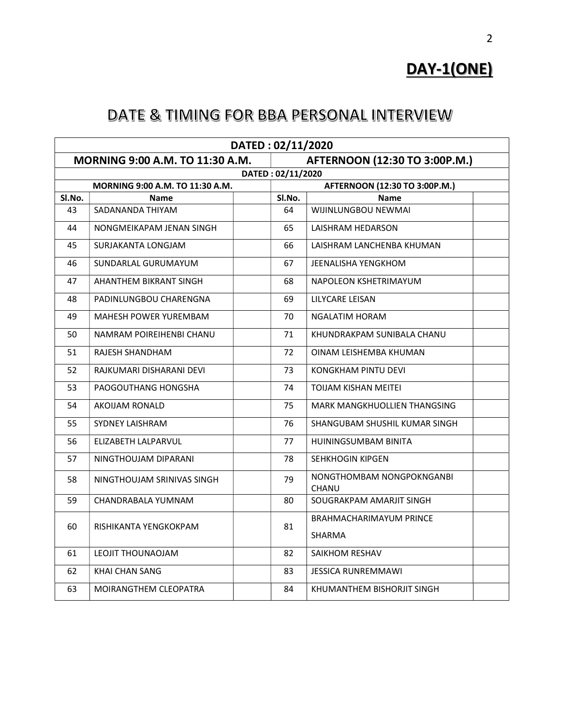DAY-1(ONE)

|        | DATED: 02/11/2020                                                |                   |                                           |  |  |  |  |
|--------|------------------------------------------------------------------|-------------------|-------------------------------------------|--|--|--|--|
|        | AFTERNOON (12:30 TO 3:00P.M.)<br>MORNING 9:00 A.M. TO 11:30 A.M. |                   |                                           |  |  |  |  |
|        |                                                                  | DATED: 02/11/2020 |                                           |  |  |  |  |
|        | MORNING 9:00 A.M. TO 11:30 A.M.                                  |                   | AFTERNOON (12:30 TO 3:00P.M.)             |  |  |  |  |
| Sl.No. | <b>Name</b>                                                      | SI.No.            | <b>Name</b>                               |  |  |  |  |
| 43     | SADANANDA THIYAM                                                 | 64                | WIJINLUNGBOU NEWMAI                       |  |  |  |  |
| 44     | NONGMEIKAPAM JENAN SINGH                                         | 65                | LAISHRAM HEDARSON                         |  |  |  |  |
| 45     | SURJAKANTA LONGJAM                                               | 66                | LAISHRAM LANCHENBA KHUMAN                 |  |  |  |  |
| 46     | SUNDARLAL GURUMAYUM                                              | 67                | <b>JEENALISHA YENGKHOM</b>                |  |  |  |  |
| 47     | AHANTHEM BIKRANT SINGH                                           | 68                | NAPOLEON KSHETRIMAYUM                     |  |  |  |  |
| 48     | PADINLUNGBOU CHARENGNA                                           | 69                | LILYCARE LEISAN                           |  |  |  |  |
| 49     | MAHESH POWER YUREMBAM                                            | 70                | NGALATIM HORAM                            |  |  |  |  |
| 50     | NAMRAM POIREIHENBI CHANU                                         | 71                | KHUNDRAKPAM SUNIBALA CHANU                |  |  |  |  |
| 51     | RAJESH SHANDHAM                                                  | 72                | OINAM LEISHEMBA KHUMAN                    |  |  |  |  |
| 52     | RAJKUMARI DISHARANI DEVI                                         | 73                | KONGKHAM PINTU DEVI                       |  |  |  |  |
| 53     | PAOGOUTHANG HONGSHA                                              | 74                | TOIJAM KISHAN MEITEI                      |  |  |  |  |
| 54     | <b>AKOIJAM RONALD</b>                                            | 75                | MARK MANGKHUOLLIEN THANGSING              |  |  |  |  |
| 55     | SYDNEY LAISHRAM                                                  | 76                | SHANGUBAM SHUSHIL KUMAR SINGH             |  |  |  |  |
| 56     | ELIZABETH LALPARVUL                                              | 77                | <b>HUININGSUMBAM BINITA</b>               |  |  |  |  |
| 57     | NINGTHOUJAM DIPARANI                                             | 78                | SEHKHOGIN KIPGEN                          |  |  |  |  |
| 58     | NINGTHOUJAM SRINIVAS SINGH                                       | 79                | NONGTHOMBAM NONGPOKNGANBI<br><b>CHANU</b> |  |  |  |  |
| 59     | CHANDRABALA YUMNAM                                               | 80                | SOUGRAKPAM AMARJIT SINGH                  |  |  |  |  |
| 60     | RISHIKANTA YENGKOKPAM                                            | 81                | BRAHMACHARIMAYUM PRINCE                   |  |  |  |  |
|        |                                                                  |                   | <b>SHARMA</b>                             |  |  |  |  |
| 61     | LEOJIT THOUNAOJAM                                                | 82                | SAIKHOM RESHAV                            |  |  |  |  |
| 62     | <b>KHAI CHAN SANG</b>                                            | 83                | <b>JESSICA RUNREMMAWI</b>                 |  |  |  |  |
| 63     | MOIRANGTHEM CLEOPATRA                                            | 84                | KHUMANTHEM BISHORJIT SINGH                |  |  |  |  |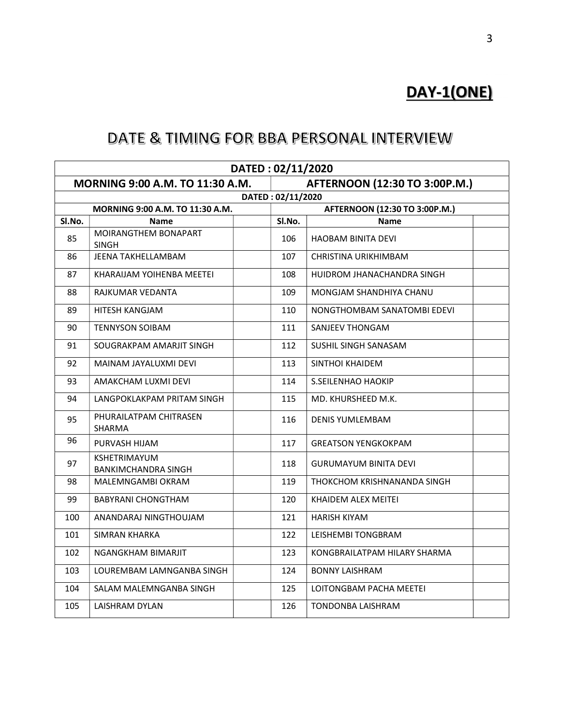# DAY-1(ONE)

| DATED: 02/11/2020                                                |                                                   |                   |  |                               |  |  |  |
|------------------------------------------------------------------|---------------------------------------------------|-------------------|--|-------------------------------|--|--|--|
| MORNING 9:00 A.M. TO 11:30 A.M.<br>AFTERNOON (12:30 TO 3:00P.M.) |                                                   |                   |  |                               |  |  |  |
|                                                                  |                                                   | DATED: 02/11/2020 |  |                               |  |  |  |
|                                                                  | MORNING 9:00 A.M. TO 11:30 A.M.                   |                   |  | AFTERNOON (12:30 TO 3:00P.M.) |  |  |  |
| SI.No.                                                           | <b>Name</b>                                       | SI.No.            |  | Name                          |  |  |  |
| 85                                                               | MOIRANGTHEM BONAPART<br><b>SINGH</b>              | 106               |  | HAOBAM BINITA DEVI            |  |  |  |
| 86                                                               | JEENA TAKHELLAMBAM                                | 107               |  | CHRISTINA URIKHIMBAM          |  |  |  |
| 87                                                               | KHARAIJAM YOIHENBA MEETEI                         | 108               |  | HUIDROM JHANACHANDRA SINGH    |  |  |  |
| 88                                                               | RAJKUMAR VEDANTA                                  | 109               |  | MONGJAM SHANDHIYA CHANU       |  |  |  |
| 89                                                               | HITESH KANGJAM                                    | 110               |  | NONGTHOMBAM SANATOMBI EDEVI   |  |  |  |
| 90                                                               | <b>TENNYSON SOIBAM</b>                            | 111               |  | SANJEEV THONGAM               |  |  |  |
| 91                                                               | SOUGRAKPAM AMARJIT SINGH                          | 112               |  | SUSHIL SINGH SANASAM          |  |  |  |
| 92                                                               | MAINAM JAYALUXMI DEVI                             | 113               |  | SINTHOI KHAIDEM               |  |  |  |
| 93                                                               | AMAKCHAM LUXMI DEVI                               | 114               |  | S.SEILENHAO HAOKIP            |  |  |  |
| 94                                                               | LANGPOKLAKPAM PRITAM SINGH                        | 115               |  | MD. KHURSHEED M.K.            |  |  |  |
| 95                                                               | PHURAILATPAM CHITRASEN<br>SHARMA                  | 116               |  | <b>DENIS YUMLEMBAM</b>        |  |  |  |
| 96                                                               | PURVASH HIJAM                                     | 117               |  | <b>GREATSON YENGKOKPAM</b>    |  |  |  |
| 97                                                               | <b>KSHETRIMAYUM</b><br><b>BANKIMCHANDRA SINGH</b> | 118               |  | <b>GURUMAYUM BINITA DEVI</b>  |  |  |  |
| 98                                                               | MALEMNGAMBI OKRAM                                 | 119               |  | THOKCHOM KRISHNANANDA SINGH   |  |  |  |
| 99                                                               | BABYRANI CHONGTHAM                                | 120               |  | KHAIDEM ALEX MEITEI           |  |  |  |
| 100                                                              | ANANDARAJ NINGTHOUJAM                             | 121               |  | <b>HARISH KIYAM</b>           |  |  |  |
| 101                                                              | <b>SIMRAN KHARKA</b>                              | 122               |  | LEISHEMBI TONGBRAM            |  |  |  |
| 102                                                              | NGANGKHAM BIMARJIT                                | 123               |  | KONGBRAILATPAM HILARY SHARMA  |  |  |  |
| 103                                                              | LOUREMBAM LAMNGANBA SINGH                         | 124               |  | <b>BONNY LAISHRAM</b>         |  |  |  |
| 104                                                              | SALAM MALEMNGANBA SINGH                           | 125               |  | LOITONGBAM PACHA MEETEI       |  |  |  |
| 105                                                              | LAISHRAM DYLAN                                    | 126               |  | TONDONBA LAISHRAM             |  |  |  |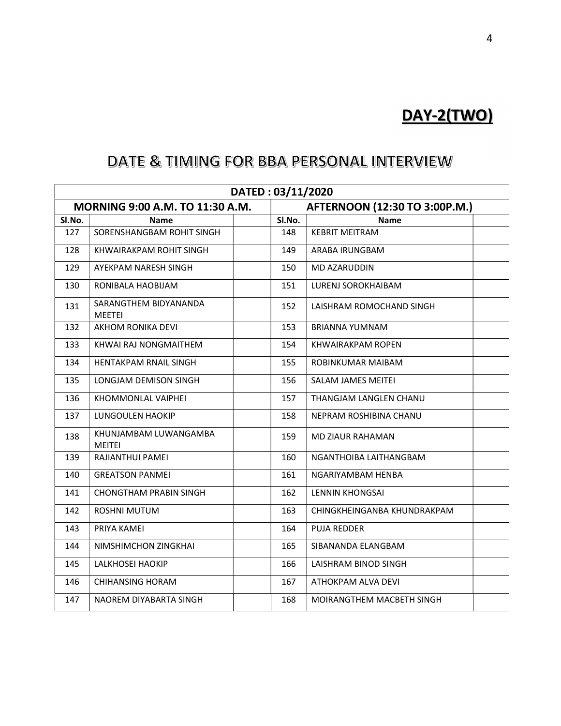# DAY-2(TWO)

| DATED: 03/11/2020 |                                        |        |  |                               |  |  |  |  |
|-------------------|----------------------------------------|--------|--|-------------------------------|--|--|--|--|
|                   | MORNING 9:00 A.M. TO 11:30 A.M.        |        |  | AFTERNOON (12:30 TO 3:00P.M.) |  |  |  |  |
| SI.No.            | Name                                   | SI.No. |  | <b>Name</b>                   |  |  |  |  |
| 127               | SORENSHANGBAM ROHIT SINGH              | 148    |  | <b>KEBRIT MEITRAM</b>         |  |  |  |  |
| 128               | KHWAIRAKPAM ROHIT SINGH                | 149    |  | ARABA IRUNGBAM                |  |  |  |  |
| 129               | AYEKPAM NARESH SINGH                   | 150    |  | MD AZARUDDIN                  |  |  |  |  |
| 130               | RONIBALA HAOBIJAM                      | 151    |  | LURENJ SOROKHAIBAM            |  |  |  |  |
| 131               | SARANGTHEM BIDYANANDA<br><b>MEETEI</b> | 152    |  | LAISHRAM ROMOCHAND SINGH      |  |  |  |  |
| 132               | AKHOM RONIKA DEVI                      | 153    |  | <b>BRIANNA YUMNAM</b>         |  |  |  |  |
| 133               | KHWAI RAJ NONGMAITHEM                  | 154    |  | KHWAIRAKPAM ROPEN             |  |  |  |  |
| 134               | HENTAKPAM RNAIL SINGH                  | 155    |  | ROBINKUMAR MAIBAM             |  |  |  |  |
| 135               | LONGJAM DEMISON SINGH                  | 156    |  | SALAM JAMES MEITEI            |  |  |  |  |
| 136               | KHOMMONLAL VAIPHEI                     | 157    |  | THANGJAM LANGLEN CHANU        |  |  |  |  |
| 137               | <b>LUNGOULEN HAOKIP</b>                | 158    |  | NEPRAM ROSHIBINA CHANU        |  |  |  |  |
| 138               | KHUNJAMBAM LUWANGAMBA<br><b>MEITEI</b> | 159    |  | <b>MD ZIAUR RAHAMAN</b>       |  |  |  |  |
| 139               | RAJIANTHUI PAMEI                       | 160    |  | NGANTHOIBA LAITHANGBAM        |  |  |  |  |
| 140               | <b>GREATSON PANMEI</b>                 | 161    |  | NGARIYAMBAM HENBA             |  |  |  |  |
| 141               | <b>CHONGTHAM PRABIN SINGH</b>          | 162    |  | <b>LENNIN KHONGSAI</b>        |  |  |  |  |
| 142               | <b>ROSHNI MUTUM</b>                    | 163    |  | CHINGKHEINGANBA KHUNDRAKPAM   |  |  |  |  |
| 143               | PRIYA KAMEI                            | 164    |  | <b>PUJA REDDER</b>            |  |  |  |  |
| 144               | NIMSHIMCHON ZINGKHAI                   | 165    |  | SIBANANDA ELANGBAM            |  |  |  |  |
| 145               | LALKHOSEI HAOKIP                       | 166    |  | LAISHRAM BINOD SINGH          |  |  |  |  |
| 146               | <b>CHIHANSING HORAM</b>                | 167    |  | ATHOKPAM ALVA DEVI            |  |  |  |  |
| 147               | NAOREM DIYABARTA SINGH                 | 168    |  | MOIRANGTHEM MACBETH SINGH     |  |  |  |  |
|                   |                                        |        |  |                               |  |  |  |  |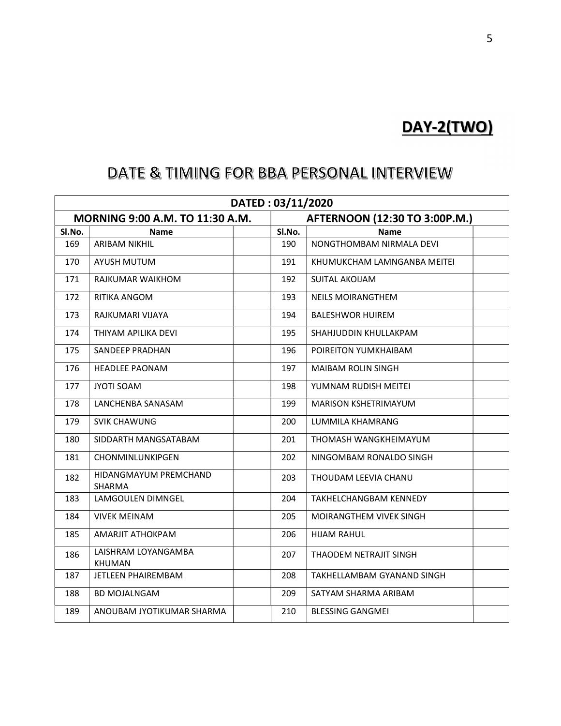# DAY-2(TWO)

| DATED: 03/11/2020 |                                 |  |        |                               |  |  |  |
|-------------------|---------------------------------|--|--------|-------------------------------|--|--|--|
|                   | MORNING 9:00 A.M. TO 11:30 A.M. |  |        | AFTERNOON (12:30 TO 3:00P.M.) |  |  |  |
| SI.No.            | Name                            |  | SI.No. | <b>Name</b>                   |  |  |  |
| 169               | <b>ARIBAM NIKHIL</b>            |  | 190    | NONGTHOMBAM NIRMALA DEVI      |  |  |  |
| 170               | <b>AYUSH MUTUM</b>              |  | 191    | KHUMUKCHAM LAMNGANBA MEITEI   |  |  |  |
| 171               | RAJKUMAR WAIKHOM                |  | 192    | <b>SUITAL AKOIJAM</b>         |  |  |  |
| 172               | RITIKA ANGOM                    |  | 193    | <b>NEILS MOIRANGTHEM</b>      |  |  |  |
| 173               | RAJKUMARI VIJAYA                |  | 194    | <b>BALESHWOR HUIREM</b>       |  |  |  |
| 174               | THIYAM APILIKA DEVI             |  | 195    | SHAHJUDDIN KHULLAKPAM         |  |  |  |
| 175               | SANDEEP PRADHAN                 |  | 196    | POIREITON YUMKHAIBAM          |  |  |  |
| 176               | <b>HEADLEE PAONAM</b>           |  | 197    | <b>MAIBAM ROLIN SINGH</b>     |  |  |  |
| 177               | JYOTI SOAM                      |  | 198    | YUMNAM RUDISH MEITEI          |  |  |  |
| 178               | LANCHENBA SANASAM               |  | 199    | MARISON KSHETRIMAYUM          |  |  |  |
| 179               | <b>SVIK CHAWUNG</b>             |  | 200    | LUMMILA KHAMRANG              |  |  |  |
| 180               | SIDDARTH MANGSATABAM            |  | 201    | THOMASH WANGKHEIMAYUM         |  |  |  |
| 181               | CHONMINLUNKIPGEN                |  | 202    | NINGOMBAM RONALDO SINGH       |  |  |  |
| 182               | HIDANGMAYUM PREMCHAND<br>SHARMA |  | 203    | THOUDAM LEEVIA CHANU          |  |  |  |
| 183               | LAMGOULEN DIMNGEL               |  | 204    | TAKHELCHANGBAM KENNEDY        |  |  |  |
| 184               | <b>VIVEK MEINAM</b>             |  | 205    | MOIRANGTHEM VIVEK SINGH       |  |  |  |
| 185               | AMARJIT ATHOKPAM                |  | 206    | <b>HIJAM RAHUL</b>            |  |  |  |
| 186               | LAISHRAM LOYANGAMBA<br>KHUMAN   |  | 207    | THAODEM NETRAJIT SINGH        |  |  |  |
| 187               | <b>JETLEEN PHAIREMBAM</b>       |  | 208    | TAKHELLAMBAM GYANAND SINGH    |  |  |  |
| 188               | <b>BD MOJALNGAM</b>             |  | 209    | SATYAM SHARMA ARIBAM          |  |  |  |
| 189               | ANOUBAM JYOTIKUMAR SHARMA       |  | 210    | <b>BLESSING GANGMEI</b>       |  |  |  |